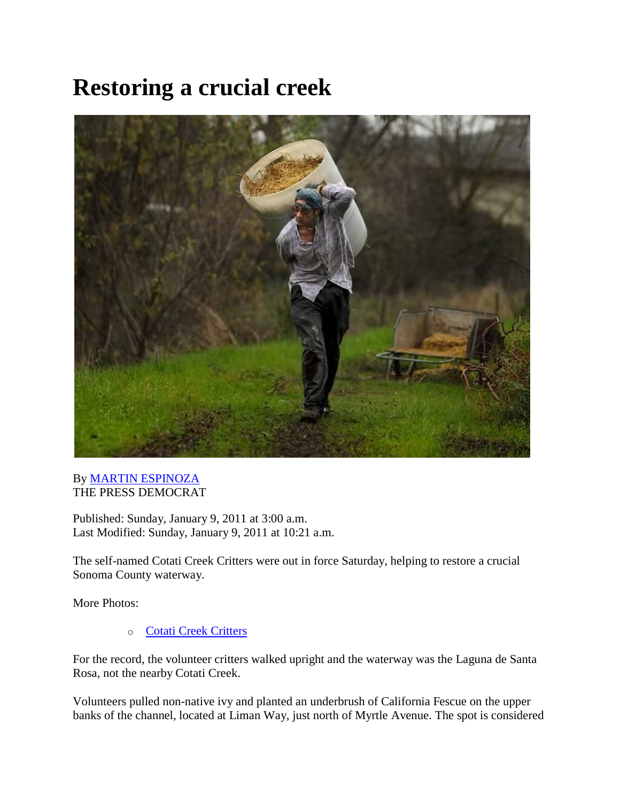## **Restoring a crucial creek**



## By [MARTIN ESPINOZA](mailto:martin.espinoza@pressdemocrat.com) THE PRESS DEMOCRAT

Published: Sunday, January 9, 2011 at 3:00 a.m. Last Modified: Sunday, January 9, 2011 at 10:21 a.m.

The self-named Cotati Creek Critters were out in force Saturday, helping to restore a crucial Sonoma County waterway.

More Photos:

o [Cotati Creek Critters](http://www.pressdemocrat.com/apps/pbcs.dll/gallery?Site=SR&Date=20110108&Category=PHOTONEWS&ArtNo=108009999&Ref=PH&show=galleries)

For the record, the volunteer critters walked upright and the waterway was the Laguna de Santa Rosa, not the nearby Cotati Creek.

Volunteers pulled non-native ivy and planted an underbrush of California Fescue on the upper banks of the channel, located at Liman Way, just north of Myrtle Avenue. The spot is considered